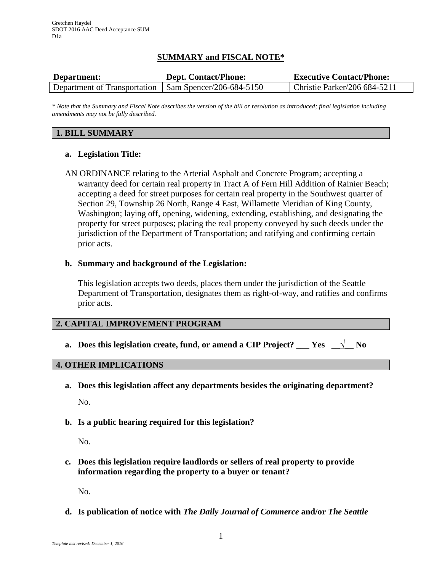# **SUMMARY and FISCAL NOTE\***

| Department:                                             | <b>Dept. Contact/Phone:</b> | <b>Executive Contact/Phone:</b> |
|---------------------------------------------------------|-----------------------------|---------------------------------|
| Department of Transportation   Sam Spencer/206-684-5150 |                             | Christie Parker/206 684-5211    |

*\* Note that the Summary and Fiscal Note describes the version of the bill or resolution as introduced; final legislation including amendments may not be fully described.*

#### **1. BILL SUMMARY**

#### **a. Legislation Title:**

AN ORDINANCE relating to the Arterial Asphalt and Concrete Program; accepting a warranty deed for certain real property in Tract A of Fern Hill Addition of Rainier Beach; accepting a deed for street purposes for certain real property in the Southwest quarter of Section 29, Township 26 North, Range 4 East, Willamette Meridian of King County, Washington; laying off, opening, widening, extending, establishing, and designating the property for street purposes; placing the real property conveyed by such deeds under the jurisdiction of the Department of Transportation; and ratifying and confirming certain prior acts.

#### **b. Summary and background of the Legislation:**

This legislation accepts two deeds, places them under the jurisdiction of the Seattle Department of Transportation, designates them as right-of-way, and ratifies and confirms prior acts.

## **2. CAPITAL IMPROVEMENT PROGRAM**

**a.** Does this legislation create, fund, or amend a CIP Project? \_\_\_ Yes  $\frac{1}{\sqrt{2}}$  No

#### **4. OTHER IMPLICATIONS**

- **a. Does this legislation affect any departments besides the originating department?** No.
- **b. Is a public hearing required for this legislation?**

No.

**c. Does this legislation require landlords or sellers of real property to provide information regarding the property to a buyer or tenant?**

No.

**d. Is publication of notice with** *The Daily Journal of Commerce* **and/or** *The Seattle*